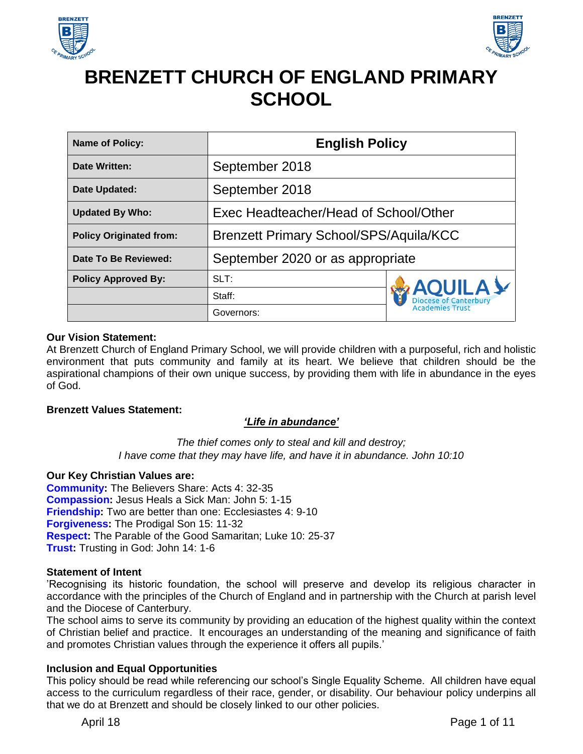



# **BRENZETT CHURCH OF ENGLAND PRIMARY SCHOOL**

| <b>Name of Policy:</b>         | <b>English Policy</b>                         |                                         |
|--------------------------------|-----------------------------------------------|-----------------------------------------|
| <b>Date Written:</b>           | September 2018                                |                                         |
| Date Updated:                  | September 2018                                |                                         |
| <b>Updated By Who:</b>         | Exec Headteacher/Head of School/Other         |                                         |
| <b>Policy Originated from:</b> | <b>Brenzett Primary School/SPS/Aquila/KCC</b> |                                         |
| Date To Be Reviewed:           | September 2020 or as appropriate              |                                         |
| <b>Policy Approved By:</b>     | SLT:                                          |                                         |
|                                | Staff:                                        | <b>AQUILA</b><br><b>Academies Trust</b> |
|                                | Governors:                                    |                                         |

#### **Our Vision Statement:**

At Brenzett Church of England Primary School, we will provide children with a purposeful, rich and holistic environment that puts community and family at its heart. We believe that children should be the aspirational champions of their own unique success, by providing them with life in abundance in the eyes of God.

#### **Brenzett Values Statement:**

#### *'Life in abundance'*

*The thief comes only to steal and kill and destroy; I have come that they may have life, and have it in abundance. John 10:10*

#### **Our Key Christian Values are:**

**Community:** The Believers Share: Acts 4: 32-35 **Compassion:** Jesus Heals a Sick Man: John 5: 1-15 **Friendship:** Two are better than one: Ecclesiastes 4: 9-10 **Forgiveness:** The Prodigal Son 15: 11-32 **Respect:** The Parable of the Good Samaritan; Luke 10: 25-37 **Trust:** Trusting in God: John 14: 1-6

#### **Statement of Intent**

'Recognising its historic foundation, the school will preserve and develop its religious character in accordance with the principles of the Church of England and in partnership with the Church at parish level and the Diocese of Canterbury.

The school aims to serve its community by providing an education of the highest quality within the context of Christian belief and practice. It encourages an understanding of the meaning and significance of faith and promotes Christian values through the experience it offers all pupils.'

#### **Inclusion and Equal Opportunities**

This policy should be read while referencing our school's Single Equality Scheme. All children have equal access to the curriculum regardless of their race, gender, or disability. Our behaviour policy underpins all that we do at Brenzett and should be closely linked to our other policies.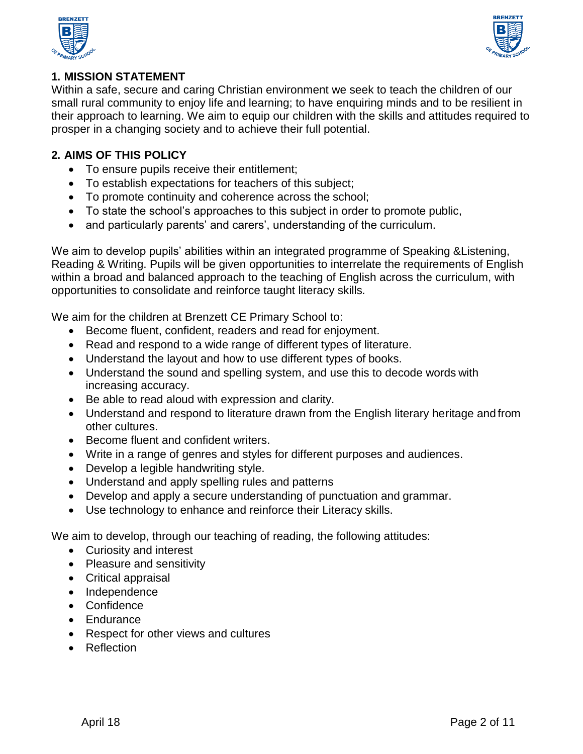



## **1. MISSION STATEMENT**

Within a safe, secure and caring Christian environment we seek to teach the children of our small rural community to enjoy life and learning; to have enquiring minds and to be resilient in their approach to learning. We aim to equip our children with the skills and attitudes required to prosper in a changing society and to achieve their full potential.

## **2. AIMS OF THIS POLICY**

- To ensure pupils receive their entitlement;
- To establish expectations for teachers of this subject;
- To promote continuity and coherence across the school;
- To state the school's approaches to this subject in order to promote public,
- and particularly parents' and carers', understanding of the curriculum.

We aim to develop pupils' abilities within an integrated programme of Speaking &Listening, Reading & Writing. Pupils will be given opportunities to interrelate the requirements of English within a broad and balanced approach to the teaching of English across the curriculum, with opportunities to consolidate and reinforce taught literacy skills*.*

We aim for the children at Brenzett CE Primary School to:

- Become fluent, confident, readers and read for enjoyment.
- Read and respond to a wide range of different types of literature.
- Understand the layout and how to use different types of books.
- Understand the sound and spelling system, and use this to decode words with increasing accuracy.
- Be able to read aloud with expression and clarity.
- Understand and respond to literature drawn from the English literary heritage and from other cultures.
- Become fluent and confident writers.
- Write in a range of genres and styles for different purposes and audiences.
- Develop a legible handwriting style.
- Understand and apply spelling rules and patterns
- Develop and apply a secure understanding of punctuation and grammar.
- Use technology to enhance and reinforce their Literacy skills.

We aim to develop, through our teaching of reading, the following attitudes:

- Curiosity and interest
- Pleasure and sensitivity
- Critical appraisal
- Independence
- Confidence
- **Endurance**
- Respect for other views and cultures
- Reflection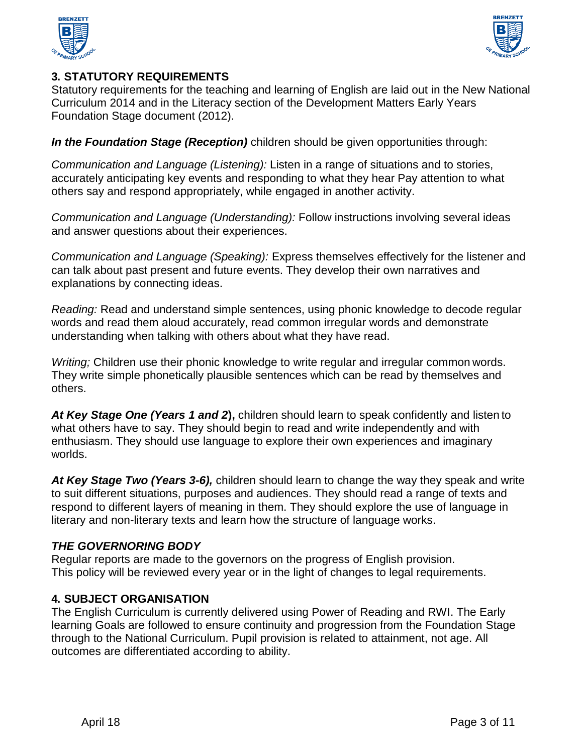



## **3. STATUTORY REQUIREMENTS**

Statutory requirements for the teaching and learning of English are laid out in the New National Curriculum 2014 and in the Literacy section of the Development Matters Early Years Foundation Stage document (2012).

*In the Foundation Stage (Reception)* children should be given opportunities through:

*Communication and Language (Listening):* Listen in a range of situations and to stories, accurately anticipating key events and responding to what they hear Pay attention to what others say and respond appropriately, while engaged in another activity.

*Communication and Language (Understanding):* Follow instructions involving several ideas and answer questions about their experiences.

*Communication and Language (Speaking):* Express themselves effectively for the listener and can talk about past present and future events. They develop their own narratives and explanations by connecting ideas.

*Reading:* Read and understand simple sentences, using phonic knowledge to decode regular words and read them aloud accurately, read common irregular words and demonstrate understanding when talking with others about what they have read.

*Writing;* Children use their phonic knowledge to write regular and irregular common words. They write simple phonetically plausible sentences which can be read by themselves and others.

*At Key Stage One (Years 1 and 2***),** children should learn to speak confidently and listen to what others have to say. They should begin to read and write independently and with enthusiasm. They should use language to explore their own experiences and imaginary worlds.

*At Key Stage Two (Years 3-6),* children should learn to change the way they speak and write to suit different situations, purposes and audiences. They should read a range of texts and respond to different layers of meaning in them. They should explore the use of language in literary and non-literary texts and learn how the structure of language works.

## *THE GOVERNORING BODY*

Regular reports are made to the governors on the progress of English provision. This policy will be reviewed every year or in the light of changes to legal requirements.

## **4. SUBJECT ORGANISATION**

The English Curriculum is currently delivered using Power of Reading and RWI. The Early learning Goals are followed to ensure continuity and progression from the Foundation Stage through to the National Curriculum. Pupil provision is related to attainment, not age. All outcomes are differentiated according to ability.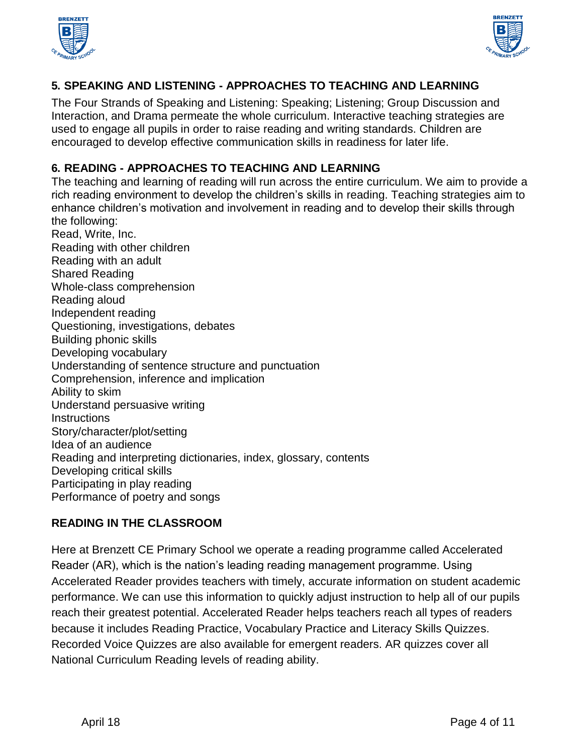



# **5. SPEAKING AND LISTENING - APPROACHES TO TEACHING AND LEARNING**

The Four Strands of Speaking and Listening: Speaking; Listening; Group Discussion and Interaction, and Drama permeate the whole curriculum. Interactive teaching strategies are used to engage all pupils in order to raise reading and writing standards. Children are encouraged to develop effective communication skills in readiness for later life.

## **6. READING - APPROACHES TO TEACHING AND LEARNING**

The teaching and learning of reading will run across the entire curriculum. We aim to provide a rich reading environment to develop the children's skills in reading. Teaching strategies aim to enhance children's motivation and involvement in reading and to develop their skills through the following:

Read, Write, Inc. Reading with other children Reading with an adult Shared Reading Whole-class comprehension Reading aloud Independent reading Questioning, investigations, debates Building phonic skills Developing vocabulary Understanding of sentence structure and punctuation Comprehension, inference and implication Ability to skim Understand persuasive writing **Instructions** Story/character/plot/setting Idea of an audience Reading and interpreting dictionaries, index, glossary, contents Developing critical skills Participating in play reading Performance of poetry and songs

## **READING IN THE CLASSROOM**

Here at Brenzett CE Primary School we operate a reading programme called Accelerated Reader (AR), which is the nation's leading reading management programme. Using Accelerated Reader provides teachers with timely, accurate information on student academic performance. We can use this information to quickly adjust instruction to help all of our pupils reach their greatest potential. Accelerated Reader helps teachers reach all types of readers because it includes Reading Practice, Vocabulary Practice and Literacy Skills Quizzes. Recorded Voice Quizzes are also available for emergent readers. AR quizzes cover all National Curriculum Reading levels of reading ability.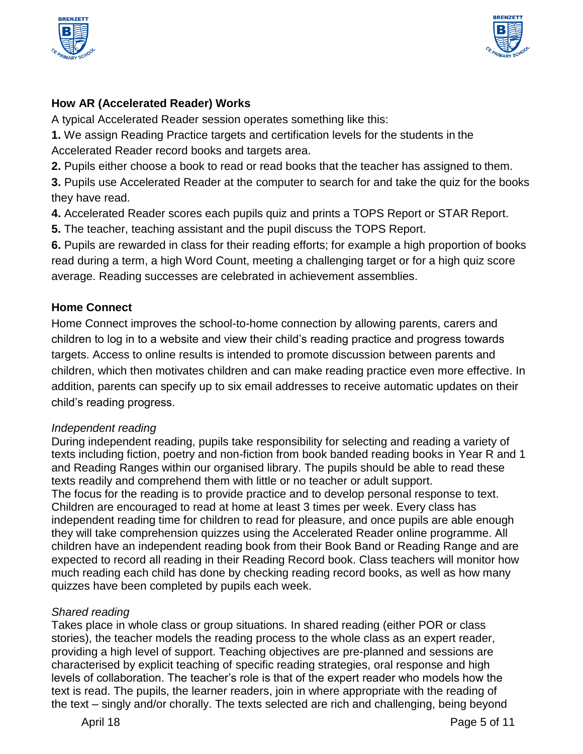



# **How AR (Accelerated Reader) Works**

A typical Accelerated Reader session operates something like this:

**1.** We assign Reading Practice targets and certification levels for the students in the Accelerated Reader record books and targets area.

**2.** Pupils either choose a book to read or read books that the teacher has assigned to them.

**3.** Pupils use Accelerated Reader at the computer to search for and take the quiz for the books they have read.

**4.** Accelerated Reader scores each pupils quiz and prints a TOPS Report or STAR Report.

**5.** The teacher, teaching assistant and the pupil discuss the TOPS Report.

**6.** Pupils are rewarded in class for their reading efforts; for example a high proportion of books read during a term, a high Word Count, meeting a challenging target or for a high quiz score average. Reading successes are celebrated in achievement assemblies.

# **Home Connect**

Home Connect improves the school-to-home connection by allowing parents, carers and children to log in to a website and view their child's reading practice and progress towards targets. Access to online results is intended to promote discussion between parents and children, which then motivates children and can make reading practice even more effective. In addition, parents can specify up to six email addresses to receive automatic updates on their child's reading progress.

# *Independent reading*

During independent reading, pupils take responsibility for selecting and reading a variety of texts including fiction, poetry and non-fiction from book banded reading books in Year R and 1 and Reading Ranges within our organised library. The pupils should be able to read these texts readily and comprehend them with little or no teacher or adult support. The focus for the reading is to provide practice and to develop personal response to text. Children are encouraged to read at home at least 3 times per week. Every class has independent reading time for children to read for pleasure, and once pupils are able enough they will take comprehension quizzes using the Accelerated Reader online programme. All children have an independent reading book from their Book Band or Reading Range and are expected to record all reading in their Reading Record book. Class teachers will monitor how much reading each child has done by checking reading record books, as well as how many quizzes have been completed by pupils each week.

# *Shared reading*

Takes place in whole class or group situations*.* In shared reading (either POR or class stories), the teacher models the reading process to the whole class as an expert reader, providing a high level of support. Teaching objectives are pre-planned and sessions are characterised by explicit teaching of specific reading strategies, oral response and high levels of collaboration. The teacher's role is that of the expert reader who models how the text is read. The pupils, the learner readers, join in where appropriate with the reading of the text – singly and/or chorally. The texts selected are rich and challenging, being beyond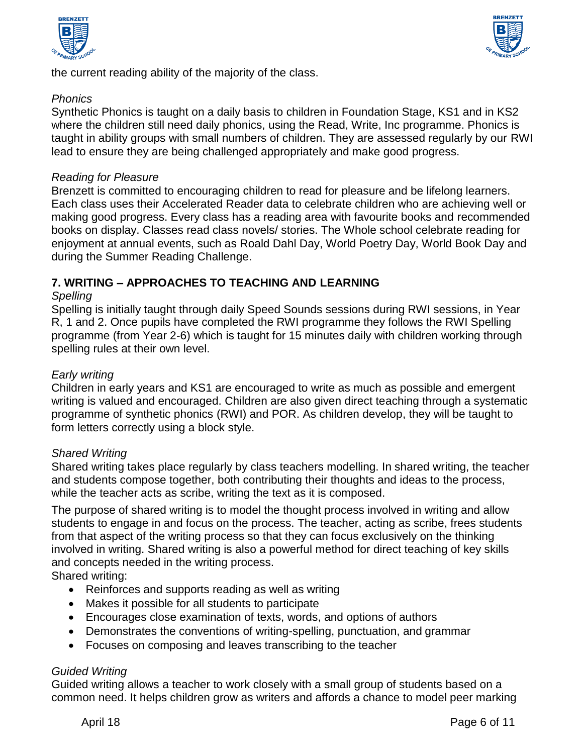



the current reading ability of the majority of the class.

## *Phonics*

Synthetic Phonics is taught on a daily basis to children in Foundation Stage, KS1 and in KS2 where the children still need daily phonics, using the Read, Write, Inc programme. Phonics is taught in ability groups with small numbers of children. They are assessed regularly by our RWI lead to ensure they are being challenged appropriately and make good progress.

#### *Reading for Pleasure*

Brenzett is committed to encouraging children to read for pleasure and be lifelong learners. Each class uses their Accelerated Reader data to celebrate children who are achieving well or making good progress. Every class has a reading area with favourite books and recommended books on display. Classes read class novels/ stories. The Whole school celebrate reading for enjoyment at annual events, such as Roald Dahl Day, World Poetry Day, World Book Day and during the Summer Reading Challenge.

## **7. WRITING – APPROACHES TO TEACHING AND LEARNING**

#### *Spelling*

Spelling is initially taught through daily Speed Sounds sessions during RWI sessions, in Year R, 1 and 2. Once pupils have completed the RWI programme they follows the RWI Spelling programme (from Year 2-6) which is taught for 15 minutes daily with children working through spelling rules at their own level.

## *Early writing*

Children in early years and KS1 are encouraged to write as much as possible and emergent writing is valued and encouraged. Children are also given direct teaching through a systematic programme of synthetic phonics (RWI) and POR. As children develop, they will be taught to form letters correctly using a block style.

## *Shared Writing*

Shared writing takes place regularly by class teachers modelling. In shared writing, the teacher and students compose together, both contributing their thoughts and ideas to the process, while the teacher acts as scribe, writing the text as it is composed.

The purpose of shared writing is to model the thought process involved in writing and allow students to engage in and focus on the process. The teacher, acting as scribe, frees students from that aspect of the writing process so that they can focus exclusively on the thinking involved in writing. Shared writing is also a powerful method for direct teaching of key skills and concepts needed in the writing process.

Shared writing:

- Reinforces and supports reading as well as writing
- Makes it possible for all students to participate
- Encourages close examination of texts, words, and options of authors
- Demonstrates the conventions of writing-spelling, punctuation, and grammar
- Focuses on composing and leaves transcribing to the teacher

## *Guided Writing*

Guided writing allows a teacher to work closely with a small group of students based on a common need. It helps children grow as writers and affords a chance to model peer marking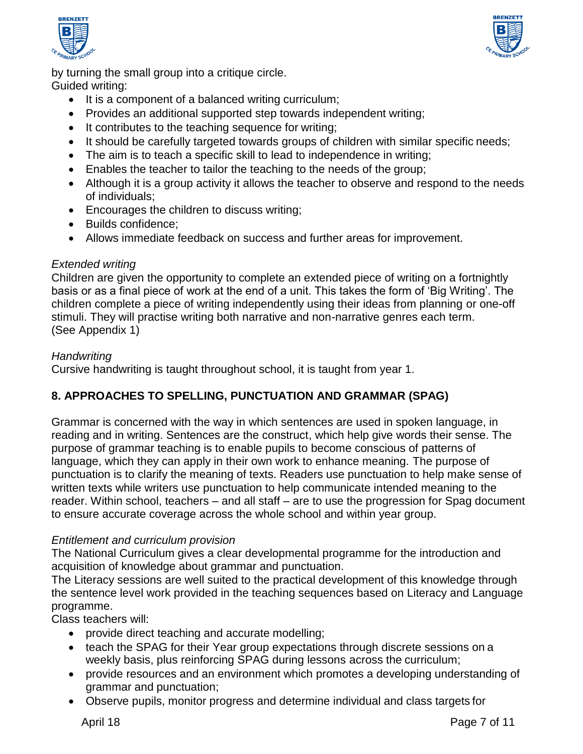



by turning the small group into a critique circle. Guided writing:

- It is a component of a balanced writing curriculum;
- Provides an additional supported step towards independent writing;
- It contributes to the teaching sequence for writing;
- It should be carefully targeted towards groups of children with similar specific needs;
- The aim is to teach a specific skill to lead to independence in writing;
- Enables the teacher to tailor the teaching to the needs of the group;
- Although it is a group activity it allows the teacher to observe and respond to the needs of individuals;
- Encourages the children to discuss writing;
- Builds confidence;
- Allows immediate feedback on success and further areas for improvement.

## *Extended writing*

Children are given the opportunity to complete an extended piece of writing on a fortnightly basis or as a final piece of work at the end of a unit. This takes the form of 'Big Writing'. The children complete a piece of writing independently using their ideas from planning or one-off stimuli. They will practise writing both narrative and non-narrative genres each term. (See Appendix 1)

## *Handwriting*

Cursive handwriting is taught throughout school, it is taught from year 1.

# **8. APPROACHES TO SPELLING, PUNCTUATION AND GRAMMAR (SPAG)**

Grammar is concerned with the way in which sentences are used in spoken language, in reading and in writing. Sentences are the construct, which help give words their sense. The purpose of grammar teaching is to enable pupils to become conscious of patterns of language, which they can apply in their own work to enhance meaning. The purpose of punctuation is to clarify the meaning of texts. Readers use punctuation to help make sense of written texts while writers use punctuation to help communicate intended meaning to the reader. Within school, teachers – and all staff – are to use the progression for Spag document to ensure accurate coverage across the whole school and within year group.

## *Entitlement and curriculum provision*

The National Curriculum gives a clear developmental programme for the introduction and acquisition of knowledge about grammar and punctuation.

The Literacy sessions are well suited to the practical development of this knowledge through the sentence level work provided in the teaching sequences based on Literacy and Language programme.

Class teachers will:

- provide direct teaching and accurate modelling;
- teach the SPAG for their Year group expectations through discrete sessions on a weekly basis, plus reinforcing SPAG during lessons across the curriculum;
- provide resources and an environment which promotes a developing understanding of grammar and punctuation;
- Observe pupils, monitor progress and determine individual and class targets for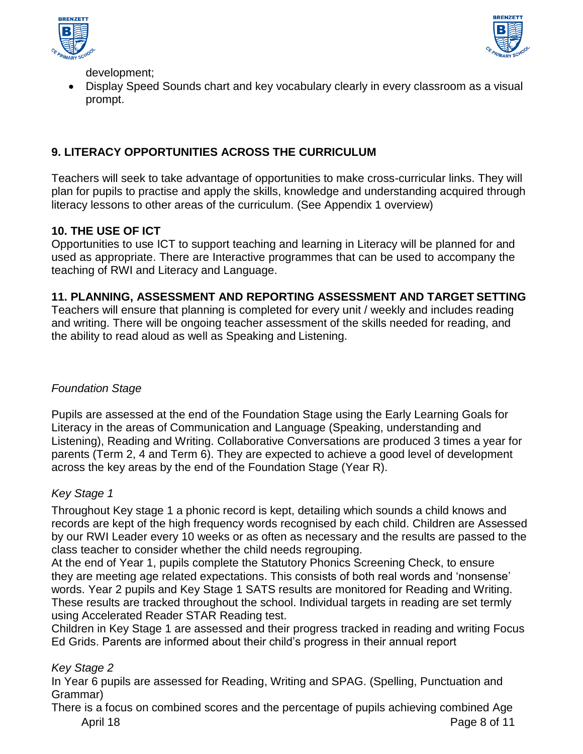



development;

 Display Speed Sounds chart and key vocabulary clearly in every classroom as a visual prompt.

# **9. LITERACY OPPORTUNITIES ACROSS THE CURRICULUM**

Teachers will seek to take advantage of opportunities to make cross-curricular links. They will plan for pupils to practise and apply the skills, knowledge and understanding acquired through literacy lessons to other areas of the curriculum. (See Appendix 1 overview)

# **10. THE USE OF ICT**

Opportunities to use ICT to support teaching and learning in Literacy will be planned for and used as appropriate. There are Interactive programmes that can be used to accompany the teaching of RWI and Literacy and Language.

## **11. PLANNING, ASSESSMENT AND REPORTING ASSESSMENT AND TARGET SETTING**

Teachers will ensure that planning is completed for every unit / weekly and includes reading and writing. There will be ongoing teacher assessment of the skills needed for reading, and the ability to read aloud as well as Speaking and Listening.

# *Foundation Stage*

Pupils are assessed at the end of the Foundation Stage using the Early Learning Goals for Literacy in the areas of Communication and Language (Speaking, understanding and Listening), Reading and Writing. Collaborative Conversations are produced 3 times a year for parents (Term 2, 4 and Term 6). They are expected to achieve a good level of development across the key areas by the end of the Foundation Stage (Year R).

# *Key Stage 1*

Throughout Key stage 1 a phonic record is kept, detailing which sounds a child knows and records are kept of the high frequency words recognised by each child. Children are Assessed by our RWI Leader every 10 weeks or as often as necessary and the results are passed to the class teacher to consider whether the child needs regrouping.

At the end of Year 1, pupils complete the Statutory Phonics Screening Check, to ensure they are meeting age related expectations. This consists of both real words and 'nonsense' words. Year 2 pupils and Key Stage 1 SATS results are monitored for Reading and Writing. These results are tracked throughout the school. Individual targets in reading are set termly using Accelerated Reader STAR Reading test.

Children in Key Stage 1 are assessed and their progress tracked in reading and writing Focus Ed Grids. Parents are informed about their child's progress in their annual report

# *Key Stage 2*

In Year 6 pupils are assessed for Reading, Writing and SPAG. (Spelling, Punctuation and Grammar)

April 18 Page 8 of 11 There is a focus on combined scores and the percentage of pupils achieving combined Age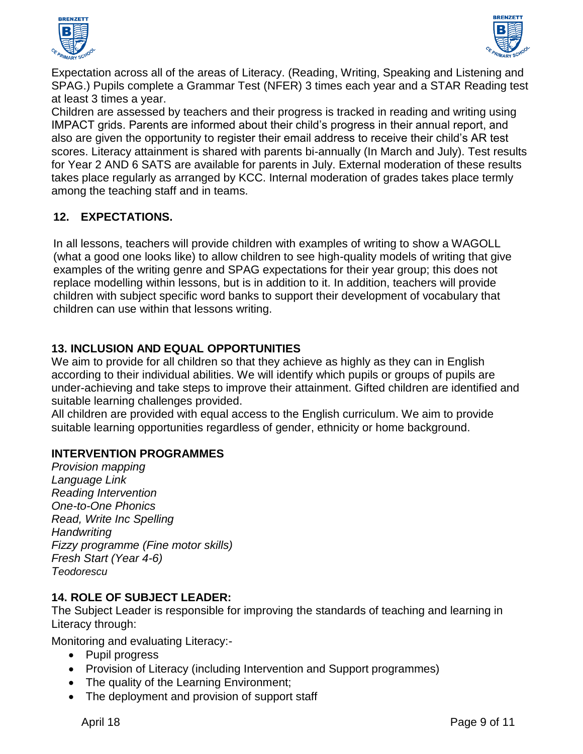



Expectation across all of the areas of Literacy. (Reading, Writing, Speaking and Listening and SPAG.) Pupils complete a Grammar Test (NFER) 3 times each year and a STAR Reading test at least 3 times a year.

Children are assessed by teachers and their progress is tracked in reading and writing using IMPACT grids. Parents are informed about their child's progress in their annual report, and also are given the opportunity to register their email address to receive their child's AR test scores. Literacy attainment is shared with parents bi-annually (In March and July). Test results for Year 2 AND 6 SATS are available for parents in July. External moderation of these results takes place regularly as arranged by KCC. Internal moderation of grades takes place termly among the teaching staff and in teams.

# **12. EXPECTATIONS.**

In all lessons, teachers will provide children with examples of writing to show a WAGOLL (what a good one looks like) to allow children to see high-quality models of writing that give examples of the writing genre and SPAG expectations for their year group; this does not replace modelling within lessons, but is in addition to it. In addition, teachers will provide children with subject specific word banks to support their development of vocabulary that children can use within that lessons writing.

# **13. INCLUSION AND EQUAL OPPORTUNITIES**

We aim to provide for all children so that they achieve as highly as they can in English according to their individual abilities. We will identify which pupils or groups of pupils are under-achieving and take steps to improve their attainment. Gifted children are identified and suitable learning challenges provided.

All children are provided with equal access to the English curriculum. We aim to provide suitable learning opportunities regardless of gender, ethnicity or home background.

# **INTERVENTION PROGRAMMES**

*Provision mapping Language Link Reading Intervention One-to-One Phonics Read, Write Inc Spelling Handwriting Fizzy programme (Fine motor skills) Fresh Start (Year 4-6) Teodorescu*

# **14. ROLE OF SUBJECT LEADER:**

The Subject Leader is responsible for improving the standards of teaching and learning in Literacy through:

Monitoring and evaluating Literacy:-

- Pupil progress
- Provision of Literacy (including Intervention and Support programmes)
- The quality of the Learning Environment;
- The deployment and provision of support staff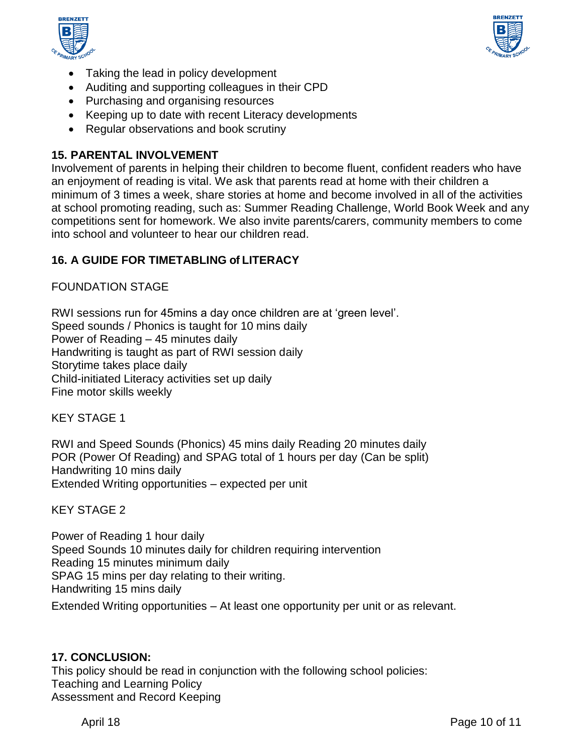



- Taking the lead in policy development
- Auditing and supporting colleagues in their CPD
- Purchasing and organising resources
- Keeping up to date with recent Literacy developments
- Regular observations and book scrutiny

## **15. PARENTAL INVOLVEMENT**

Involvement of parents in helping their children to become fluent, confident readers who have an enjoyment of reading is vital. We ask that parents read at home with their children a minimum of 3 times a week, share stories at home and become involved in all of the activities at school promoting reading, such as: Summer Reading Challenge, World Book Week and any competitions sent for homework. We also invite parents/carers, community members to come into school and volunteer to hear our children read.

# **16. A GUIDE FOR TIMETABLING of LITERACY**

FOUNDATION STAGE

RWI sessions run for 45mins a day once children are at 'green level'. Speed sounds / Phonics is taught for 10 mins daily Power of Reading – 45 minutes daily Handwriting is taught as part of RWI session daily Storytime takes place daily Child-initiated Literacy activities set up daily Fine motor skills weekly

KEY STAGE 1

RWI and Speed Sounds (Phonics) 45 mins daily Reading 20 minutes daily POR (Power Of Reading) and SPAG total of 1 hours per day (Can be split) Handwriting 10 mins daily Extended Writing opportunities – expected per unit

KEY STAGE 2

Power of Reading 1 hour daily Speed Sounds 10 minutes daily for children requiring intervention Reading 15 minutes minimum daily SPAG 15 mins per day relating to their writing. Handwriting 15 mins daily Extended Writing opportunities – At least one opportunity per unit or as relevant.

# **17. CONCLUSION:**

This policy should be read in conjunction with the following school policies: Teaching and Learning Policy Assessment and Record Keeping